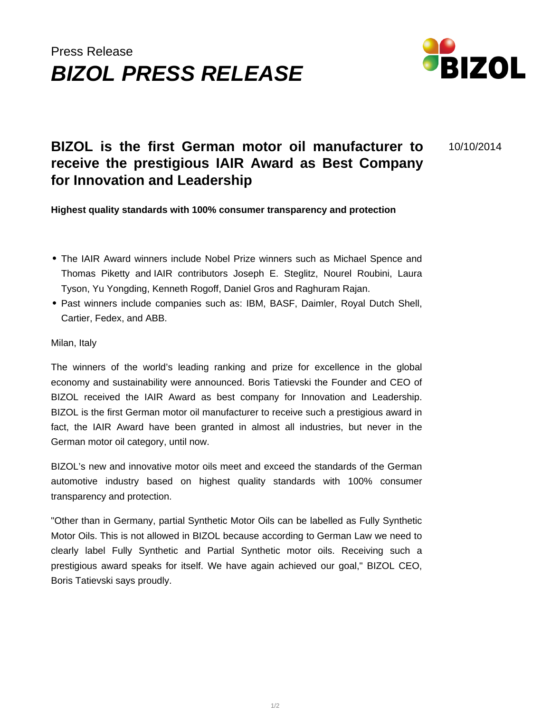## Press Release **BIZOL PRESS RELEASE**



10/10/2014

## **BIZOL is the first German motor oil manufacturer to receive the prestigious IAIR Award as Best Company for Innovation and Leadership**

**Highest quality standards with 100% consumer transparency and protection**

- The IAIR Award winners include Nobel Prize winners such as Michael Spence and Thomas Piketty and IAIR contributors Joseph E. Steglitz, Nourel Roubini, Laura Tyson, Yu Yongding, Kenneth Rogoff, Daniel Gros and Raghuram Rajan.
- Past winners include companies such as: IBM, BASF, Daimler, Royal Dutch Shell, Cartier, Fedex, and ABB.

## Milan, Italy

The winners of the world's leading ranking and prize for excellence in the global economy and sustainability were announced. Boris Tatievski the Founder and CEO of BIZOL received the IAIR Award as best company for Innovation and Leadership. BIZOL is the first German motor oil manufacturer to receive such a prestigious award in fact, the IAIR Award have been granted in almost all industries, but never in the German motor oil category, until now.

BIZOL's new and innovative motor oils meet and exceed the standards of the German automotive industry based on highest quality standards with 100% consumer transparency and protection.

"Other than in Germany, partial Synthetic Motor Oils can be labelled as Fully Synthetic Motor Oils. This is not allowed in BIZOL because according to German Law we need to clearly label Fully Synthetic and Partial Synthetic motor oils. Receiving such a prestigious award speaks for itself. We have again achieved our goal," BIZOL CEO, Boris Tatievski says proudly.